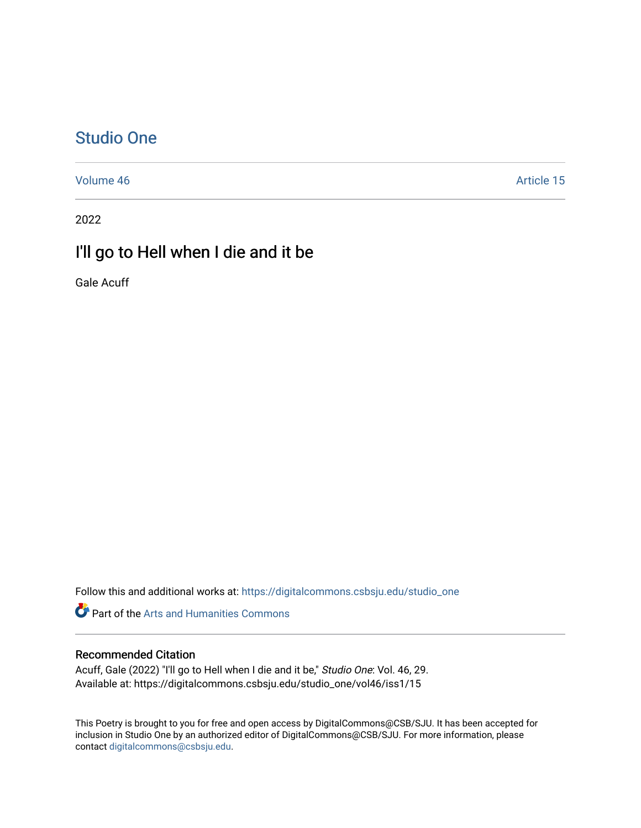## [Studio One](https://digitalcommons.csbsju.edu/studio_one)

[Volume 46](https://digitalcommons.csbsju.edu/studio_one/vol46) Article 15

2022

## I'll go to Hell when I die and it be

Gale Acuff

Follow this and additional works at: [https://digitalcommons.csbsju.edu/studio\\_one](https://digitalcommons.csbsju.edu/studio_one?utm_source=digitalcommons.csbsju.edu%2Fstudio_one%2Fvol46%2Fiss1%2F15&utm_medium=PDF&utm_campaign=PDFCoverPages) 

Part of the [Arts and Humanities Commons](https://network.bepress.com/hgg/discipline/438?utm_source=digitalcommons.csbsju.edu%2Fstudio_one%2Fvol46%2Fiss1%2F15&utm_medium=PDF&utm_campaign=PDFCoverPages) 

## Recommended Citation

Acuff, Gale (2022) "I'll go to Hell when I die and it be," Studio One: Vol. 46, 29. Available at: https://digitalcommons.csbsju.edu/studio\_one/vol46/iss1/15

This Poetry is brought to you for free and open access by DigitalCommons@CSB/SJU. It has been accepted for inclusion in Studio One by an authorized editor of DigitalCommons@CSB/SJU. For more information, please contact [digitalcommons@csbsju.edu.](mailto:digitalcommons@csbsju.edu)